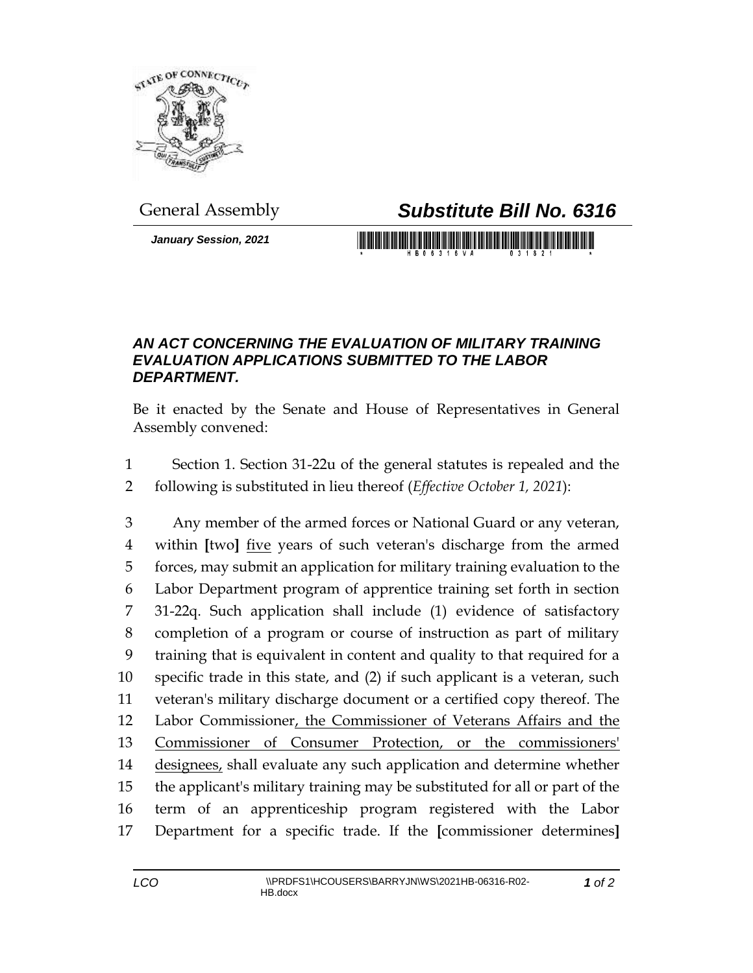

*January Session, 2021*

## General Assembly *Substitute Bill No. 6316*

<u> 1999 - Johann Maria Maria Maria Maria Maria Maria Maria Maria Maria Maria Maria Maria Maria Maria Maria Mari</u>

## *AN ACT CONCERNING THE EVALUATION OF MILITARY TRAINING EVALUATION APPLICATIONS SUBMITTED TO THE LABOR DEPARTMENT.*

Be it enacted by the Senate and House of Representatives in General Assembly convened:

- Section 1. Section 31-22u of the general statutes is repealed and the
- following is substituted in lieu thereof (*Effective October 1, 2021*):

 Any member of the armed forces or National Guard or any veteran, within **[**two**]** five years of such veteran's discharge from the armed forces, may submit an application for military training evaluation to the Labor Department program of apprentice training set forth in section 31-22q. Such application shall include (1) evidence of satisfactory completion of a program or course of instruction as part of military training that is equivalent in content and quality to that required for a specific trade in this state, and (2) if such applicant is a veteran, such veteran's military discharge document or a certified copy thereof. The Labor Commissioner, the Commissioner of Veterans Affairs and the Commissioner of Consumer Protection, or the commissioners' 14 designees, shall evaluate any such application and determine whether the applicant's military training may be substituted for all or part of the term of an apprenticeship program registered with the Labor Department for a specific trade. If the **[**commissioner determines**]**